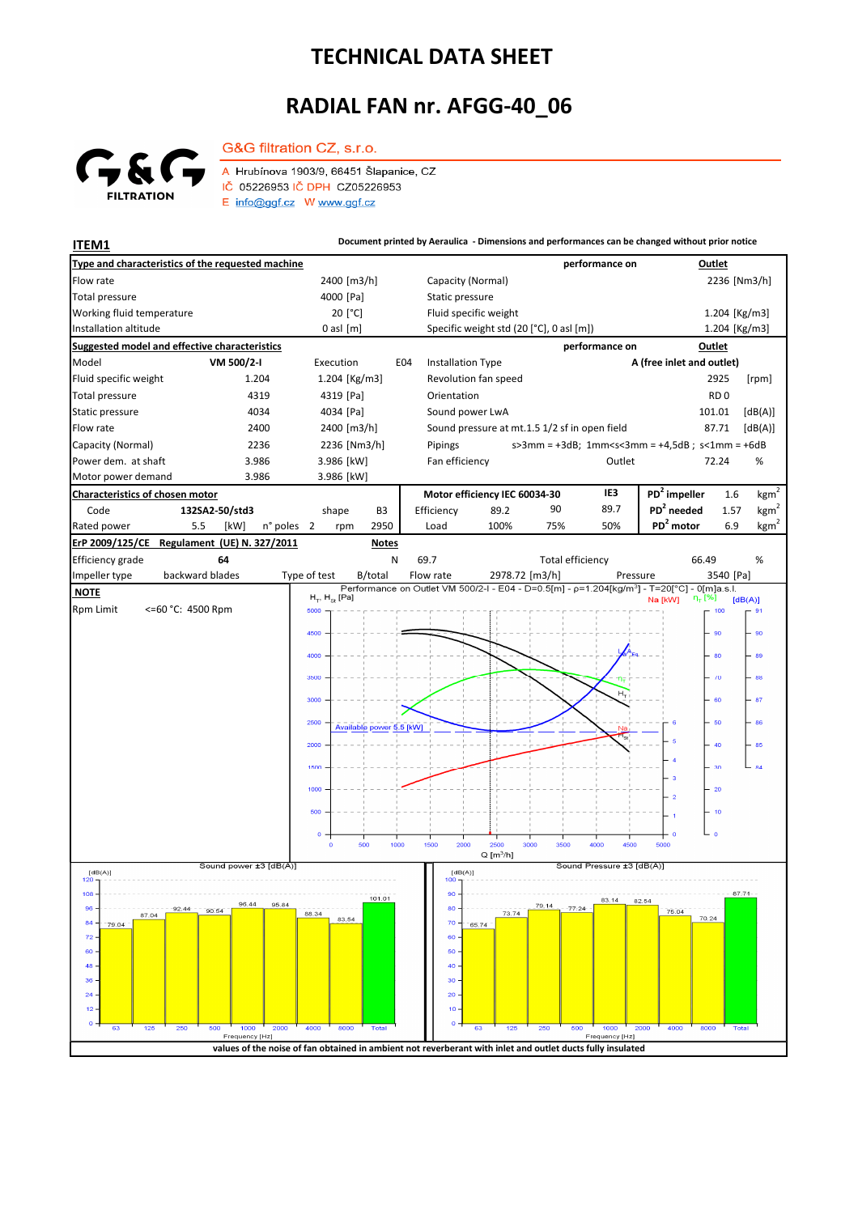## **TECHNICAL DATA SHEET**

## **RADIAL FAN nr. AFGG-40\_06**



G&G filtration CZ, s.r.o. A Hrubínova 1903/9, 66451 Šlapanice, CZ IČ 05226953 IČ DPH CZ05226953 E info@ggf.cz W www.ggf.cz

**ITEM1 ITEM1 Document printed by Aeraulica** - Dimensions and performances can be changed without prior notice

| Type and characteristics of the requested machine    |                                                                                                                              |                |                                                       |                          |                               |                                               |                         | performance on            |                                                                                                         | Outlet          |                  |
|------------------------------------------------------|------------------------------------------------------------------------------------------------------------------------------|----------------|-------------------------------------------------------|--------------------------|-------------------------------|-----------------------------------------------|-------------------------|---------------------------|---------------------------------------------------------------------------------------------------------|-----------------|------------------|
| Flow rate                                            |                                                                                                                              |                | 2400 [m3/h]                                           |                          |                               | Capacity (Normal)                             |                         |                           |                                                                                                         | 2236 [Nm3/h]    |                  |
| <b>Total pressure</b>                                |                                                                                                                              |                | 4000 [Pa]                                             |                          |                               | Static pressure                               |                         |                           |                                                                                                         |                 |                  |
| Working fluid temperature                            |                                                                                                                              |                | 20 [°C]                                               |                          |                               | Fluid specific weight                         |                         |                           |                                                                                                         | 1.204 [Kg/m3]   |                  |
| Installation altitude                                |                                                                                                                              |                | $0$ asl $[m]$                                         |                          |                               | Specific weight std (20 [°C], 0 asl [m])      |                         |                           |                                                                                                         | 1.204 [Kg/m3]   |                  |
| <b>Suggested model and effective characteristics</b> |                                                                                                                              |                |                                                       |                          |                               |                                               |                         | performance on            |                                                                                                         | Outlet          |                  |
| Model                                                | VM 500/2-I                                                                                                                   |                |                                                       | E04                      |                               | <b>Installation Type</b>                      |                         | A (free inlet and outlet) |                                                                                                         |                 |                  |
| Fluid specific weight                                | 1.204                                                                                                                        |                | 1.204 [Kg/m3]                                         |                          |                               | Revolution fan speed                          |                         |                           |                                                                                                         | 2925            | [rpm]            |
| <b>Total pressure</b>                                | 4319                                                                                                                         |                | 4319 [Pa]                                             |                          | Orientation                   |                                               |                         |                           |                                                                                                         | RD <sub>0</sub> |                  |
| Static pressure                                      | 4034                                                                                                                         |                | 4034 [Pa]                                             |                          |                               | Sound power LwA                               |                         |                           |                                                                                                         | 101.01          | [dB(A)]          |
| Flow rate<br>2400                                    |                                                                                                                              |                | 2400 [m3/h]                                           |                          |                               | Sound pressure at mt.1.5 1/2 sf in open field |                         |                           |                                                                                                         | 87.71           | [dB(A)]          |
| Capacity (Normal)<br>2236                            |                                                                                                                              |                | 2236 [Nm3/h]                                          |                          | Pipings                       |                                               |                         |                           | $s > 3$ mm = +3dB; 1mm <s<3mm +4,5db;="" =="" s<1mm="+6dB&lt;/td"><td></td><td></td></s<3mm>            |                 |                  |
| Power dem. at shaft<br>3.986<br>3.986                |                                                                                                                              |                | 3.986 [kW]                                            |                          |                               | Fan efficiency                                | Outlet                  | 72.24<br>%                |                                                                                                         |                 |                  |
| Motor power demand                                   |                                                                                                                              | 3.986 [kW]     |                                                       |                          |                               |                                               |                         |                           |                                                                                                         |                 |                  |
| Characteristics of chosen motor                      |                                                                                                                              |                |                                                       |                          | Motor efficiency IEC 60034-30 |                                               |                         | IE3                       | PD <sup>2</sup> impeller                                                                                | 1.6             | kgm <sup>2</sup> |
| Code                                                 | 132SA2-50/std3                                                                                                               |                | shape                                                 | B <sub>3</sub>           | Efficiency                    | 89.2                                          | 90                      | 89.7                      | PD <sup>2</sup> needed                                                                                  | 1.57            | kgm <sup>2</sup> |
| Rated power<br>5.5                                   | [kW]<br>n° poles                                                                                                             | $\overline{2}$ | rpm                                                   | 2950                     | Load                          | 100%                                          | 75%                     | 50%                       | PD <sup>2</sup> motor                                                                                   | 6.9             | $\text{kgm}^2$   |
| ErP 2009/125/CE                                      | Regulament (UE) N. 327/2011                                                                                                  |                |                                                       | <b>Notes</b>             |                               |                                               |                         |                           |                                                                                                         |                 |                  |
| Efficiency grade                                     | 64                                                                                                                           |                |                                                       | N                        | 69.7                          |                                               | <b>Total efficiency</b> |                           | 66.49                                                                                                   |                 | %                |
| backward blades<br>Impeller type                     |                                                                                                                              | Type of test   |                                                       | B/total                  | Flow rate                     |                                               | 2978.72 [m3/h]          | Pressure                  | Performance on Outlet VM 500/2-I - E04 - D=0.5[m] - p=1.204[kg/m <sup>3</sup> ] - T=20[°C] - 0[m]a.s.l. | 3540 [Pa]       |                  |
| <b>NOTE</b>                                          |                                                                                                                              |                | $H_{\rm \tau}$ , $H_{\rm \scriptscriptstyle SI}$ [Pa] |                          |                               |                                               |                         |                           | η <sub>τ</sub> [%]<br>Na [kW]                                                                           |                 | [dB(A)]          |
| <b>Rpm Limit</b><br><=60 °C: 4500 Rpm                | 5000                                                                                                                         |                |                                                       |                          |                               |                                               |                         |                           | 100                                                                                                     | $\cdot$ 91      |                  |
|                                                      |                                                                                                                              | 4500           |                                                       |                          |                               |                                               |                         |                           |                                                                                                         | 90              | 90               |
|                                                      |                                                                                                                              | 4000           |                                                       |                          |                               |                                               |                         |                           |                                                                                                         | 80              | 89               |
|                                                      |                                                                                                                              |                |                                                       |                          |                               |                                               |                         |                           |                                                                                                         |                 |                  |
|                                                      |                                                                                                                              | 3500           |                                                       |                          |                               |                                               |                         |                           |                                                                                                         | $-70$           | 88               |
|                                                      |                                                                                                                              | 3000           |                                                       |                          |                               |                                               |                         |                           |                                                                                                         | 60              | 87               |
|                                                      |                                                                                                                              |                |                                                       |                          |                               |                                               |                         |                           |                                                                                                         |                 |                  |
|                                                      |                                                                                                                              | 2500           |                                                       | Available power 5.5 [kW] |                               |                                               |                         | Na                        |                                                                                                         | 50              | 86               |
|                                                      |                                                                                                                              | 2000           |                                                       |                          |                               |                                               |                         |                           |                                                                                                         | 40              | 85               |
|                                                      |                                                                                                                              | 1500           |                                                       |                          |                               |                                               |                         |                           |                                                                                                         | 30              | 84               |
|                                                      |                                                                                                                              |                |                                                       |                          |                               |                                               |                         |                           | 3                                                                                                       |                 |                  |
|                                                      |                                                                                                                              | 1000           |                                                       |                          |                               |                                               |                         |                           | $\overline{2}$                                                                                          | $-20$           |                  |
|                                                      |                                                                                                                              | 500            |                                                       |                          |                               |                                               |                         |                           |                                                                                                         | $-10$           |                  |
|                                                      |                                                                                                                              | o              |                                                       |                          |                               |                                               |                         |                           |                                                                                                         | ە جا            |                  |
|                                                      |                                                                                                                              | $\mathbf{o}$   | 500                                                   | 1000                     | 1500                          | 2000<br>2500                                  | 3000<br>3500            | 4000<br>4500              | 5000                                                                                                    |                 |                  |
|                                                      | Sound power ±3 [dB(A)]                                                                                                       |                |                                                       |                          |                               | $Q$ [m <sup>3</sup> /h]                       |                         | Sound Pressure ±3 [dB(A)] |                                                                                                         |                 |                  |
| [dB(A)]<br>120                                       |                                                                                                                              |                |                                                       |                          | 100                           | [dB(A)]                                       |                         |                           |                                                                                                         |                 |                  |
| $108 -$                                              |                                                                                                                              |                |                                                       | 101.01                   | 90                            |                                               |                         | 83.14                     | 82.54                                                                                                   | $-87 - 71$      |                  |
| $96 -$<br>92.44<br>87.04                             | 90.54                                                                                                                        | 88.34          | 83.54                                                 |                          | $80 -$                        | 73.74                                         | /9.14                   | $-77-24$                  | 75.04<br>70.24                                                                                          |                 |                  |
| $84 -$<br>79.04                                      |                                                                                                                              |                |                                                       |                          | $70 -$                        | 65.74                                         |                         |                           |                                                                                                         |                 |                  |
| 72<br>60                                             |                                                                                                                              |                |                                                       |                          | 60<br>50                      |                                               |                         |                           |                                                                                                         |                 |                  |
| 48                                                   |                                                                                                                              |                |                                                       |                          | 40                            |                                               |                         |                           |                                                                                                         |                 |                  |
| 36                                                   |                                                                                                                              |                |                                                       |                          | 30 <sub>1</sub>               |                                               |                         |                           |                                                                                                         |                 |                  |
| 24                                                   |                                                                                                                              |                |                                                       |                          | $20 -$                        |                                               |                         |                           |                                                                                                         |                 |                  |
| 12                                                   |                                                                                                                              |                |                                                       |                          | 10                            |                                               |                         |                           |                                                                                                         |                 |                  |
| 125<br>250<br>63                                     | 500<br>1000<br>2000                                                                                                          | 4000           | 8000                                                  | <b>Total</b>             | 0                             | 63<br>125                                     | 250                     | 1000<br>500               | 2000<br>4000<br>8000                                                                                    | Total           |                  |
|                                                      | Frequency [Hz]<br>values of the noise of fan obtained in ambient not reverberant with inlet and outlet ducts fully insulated |                |                                                       |                          |                               |                                               |                         | Frequency [Hz]            |                                                                                                         |                 |                  |
|                                                      |                                                                                                                              |                |                                                       |                          |                               |                                               |                         |                           |                                                                                                         |                 |                  |